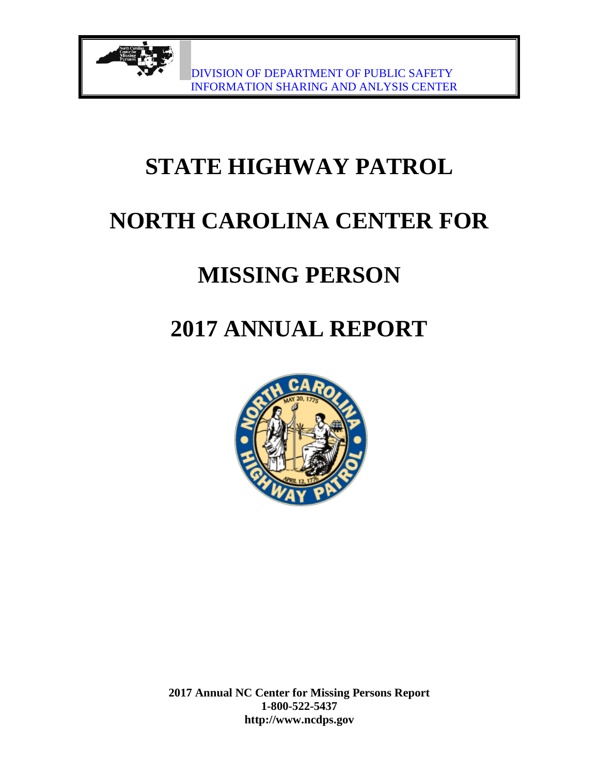# **STATE HIGHWAY PATROL**

# **NORTH CAROLINA CENTER FOR**

## **MISSING PERSON**

# **2017 ANNUAL REPORT**

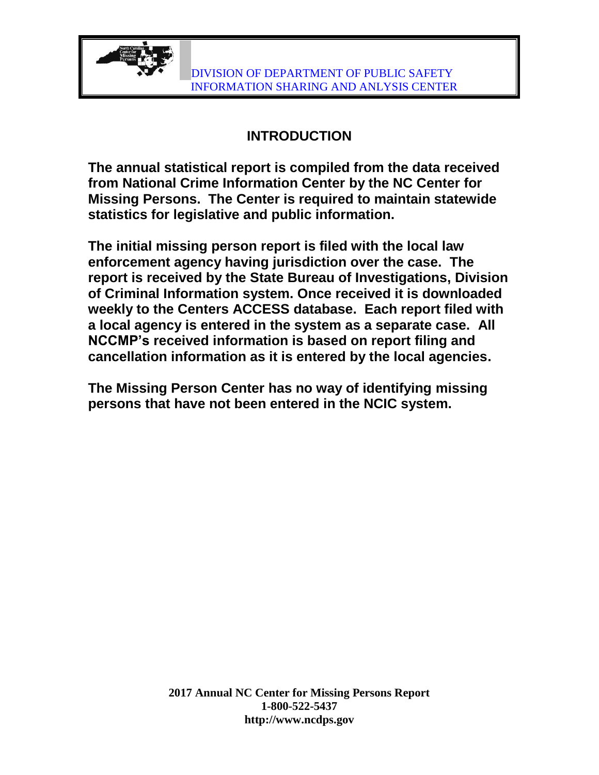

#### **INTRODUCTION**

**The annual statistical report is compiled from the data received from National Crime Information Center by the NC Center for Missing Persons. The Center is required to maintain statewide statistics for legislative and public information.**

**The initial missing person report is filed with the local law enforcement agency having jurisdiction over the case. The report is received by the State Bureau of Investigations, Division of Criminal Information system. Once received it is downloaded weekly to the Centers ACCESS database. Each report filed with a local agency is entered in the system as a separate case. All NCCMP's received information is based on report filing and cancellation information as it is entered by the local agencies.**

**The Missing Person Center has no way of identifying missing persons that have not been entered in the NCIC system.**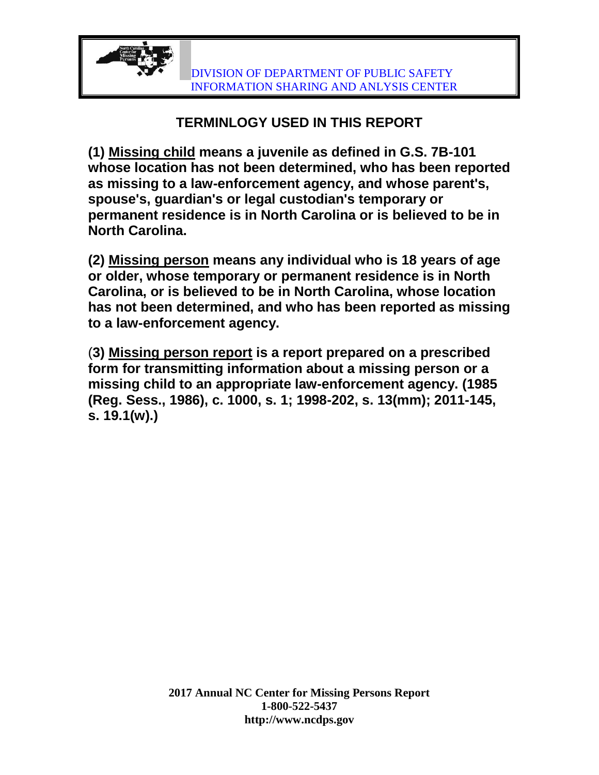## **TERMINLOGY USED IN THIS REPORT**

**(1) Missing child means a juvenile as defined in G.S. 7B-101 whose location has not been determined, who has been reported as missing to a law-enforcement agency, and whose parent's, spouse's, guardian's or legal custodian's temporary or permanent residence is in North Carolina or is believed to be in North Carolina.**

**(2) Missing person means any individual who is 18 years of age or older, whose temporary or permanent residence is in North Carolina, or is believed to be in North Carolina, whose location has not been determined, and who has been reported as missing to a law-enforcement agency.**

(**3) Missing person report is a report prepared on a prescribed form for transmitting information about a missing person or a missing child to an appropriate law-enforcement agency. (1985 (Reg. Sess., 1986), c. 1000, s. 1; 1998-202, s. 13(mm); 2011-145, s. 19.1(w).)**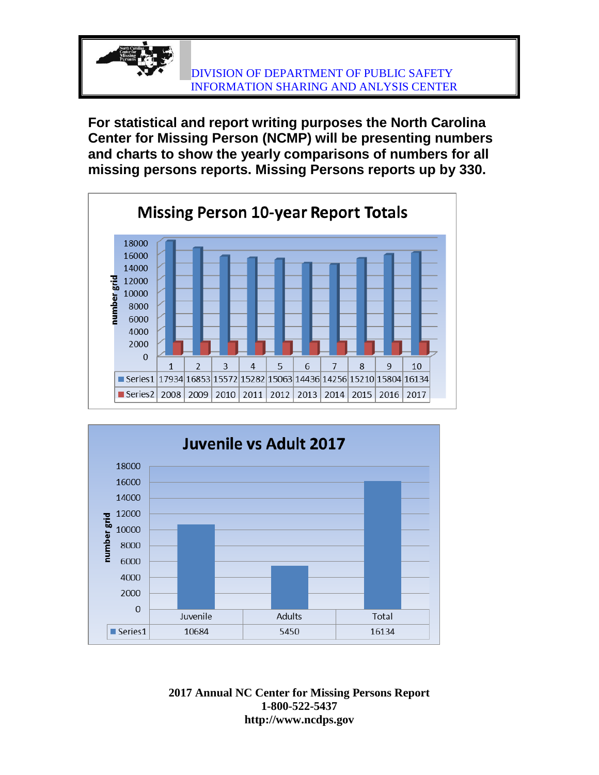**For statistical and report writing purposes the North Carolina Center for Missing Person (NCMP) will be presenting numbers and charts to show the yearly comparisons of numbers for all missing persons reports. Missing Persons reports up by 330.**



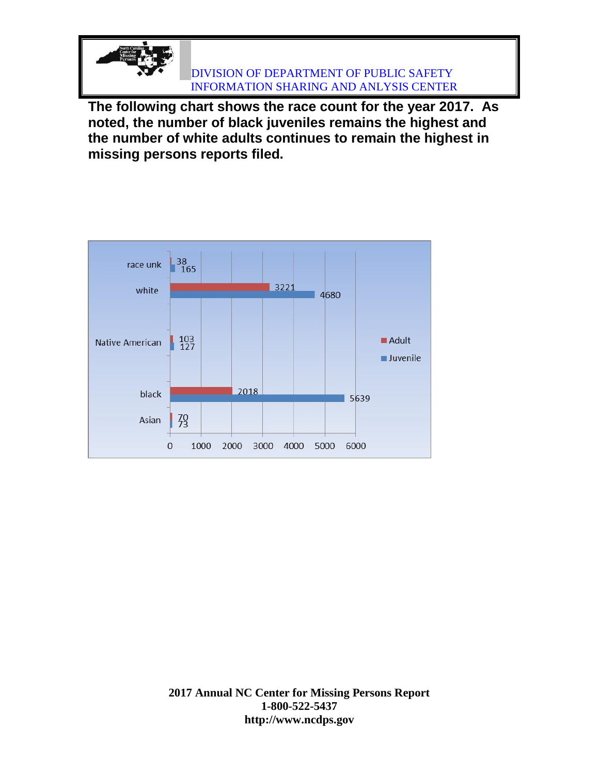**The following chart shows the race count for the year 2017. As noted, the number of black juveniles remains the highest and the number of white adults continues to remain the highest in missing persons reports filed.**

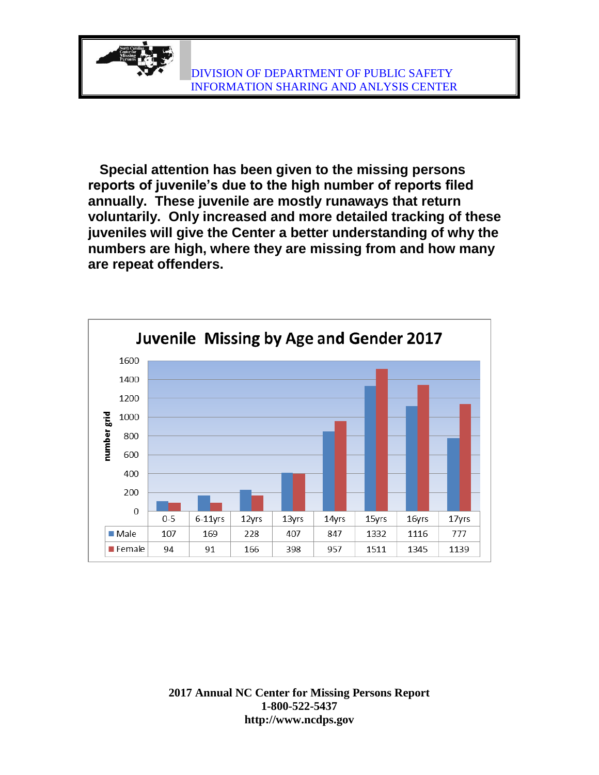

 **Special attention has been given to the missing persons reports of juvenile's due to the high number of reports filed annually. These juvenile are mostly runaways that return voluntarily. Only increased and more detailed tracking of these juveniles will give the Center a better understanding of why the numbers are high, where they are missing from and how many are repeat offenders.**

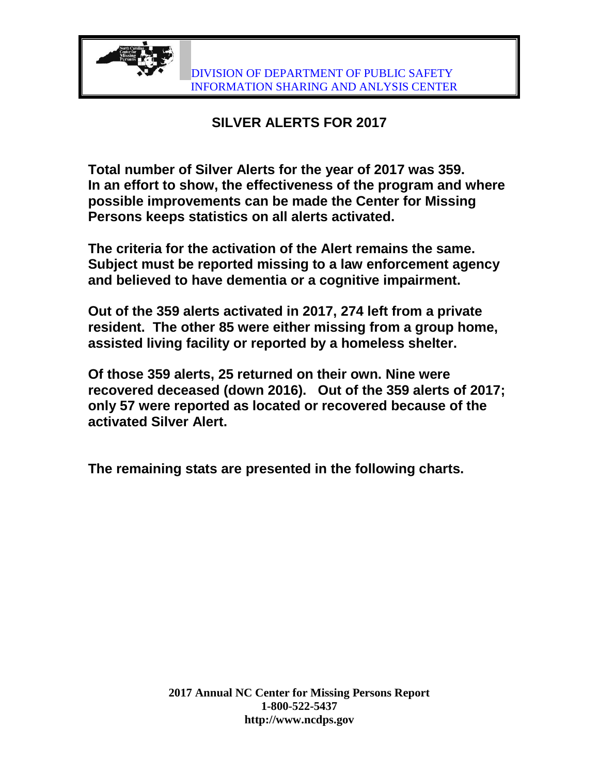

## **SILVER ALERTS FOR 2017**

**Total number of Silver Alerts for the year of 2017 was 359. In an effort to show, the effectiveness of the program and where possible improvements can be made the Center for Missing Persons keeps statistics on all alerts activated.**

**The criteria for the activation of the Alert remains the same. Subject must be reported missing to a law enforcement agency and believed to have dementia or a cognitive impairment.** 

**Out of the 359 alerts activated in 2017, 274 left from a private resident. The other 85 were either missing from a group home, assisted living facility or reported by a homeless shelter.**

**Of those 359 alerts, 25 returned on their own. Nine were recovered deceased (down 2016). Out of the 359 alerts of 2017; only 57 were reported as located or recovered because of the activated Silver Alert.** 

**The remaining stats are presented in the following charts.**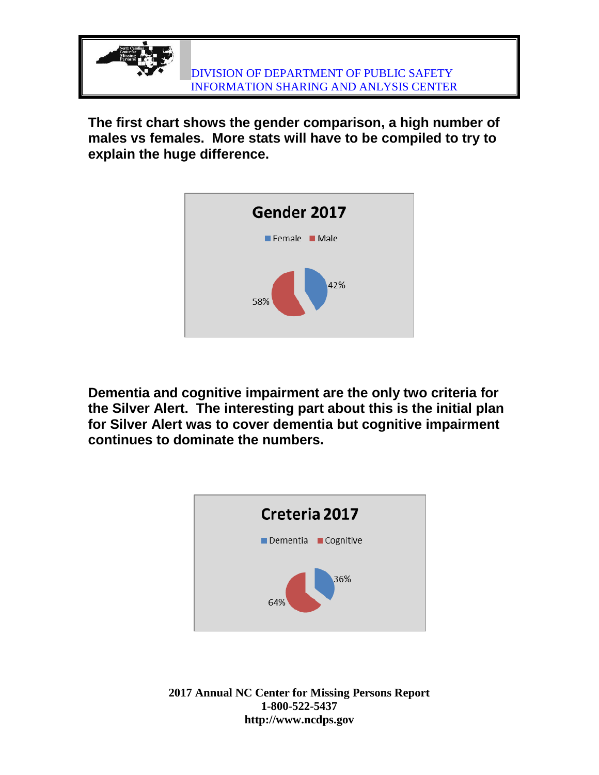

**The first chart shows the gender comparison, a high number of males vs females. More stats will have to be compiled to try to explain the huge difference.**



**Dementia and cognitive impairment are the only two criteria for the Silver Alert. The interesting part about this is the initial plan for Silver Alert was to cover dementia but cognitive impairment continues to dominate the numbers.**

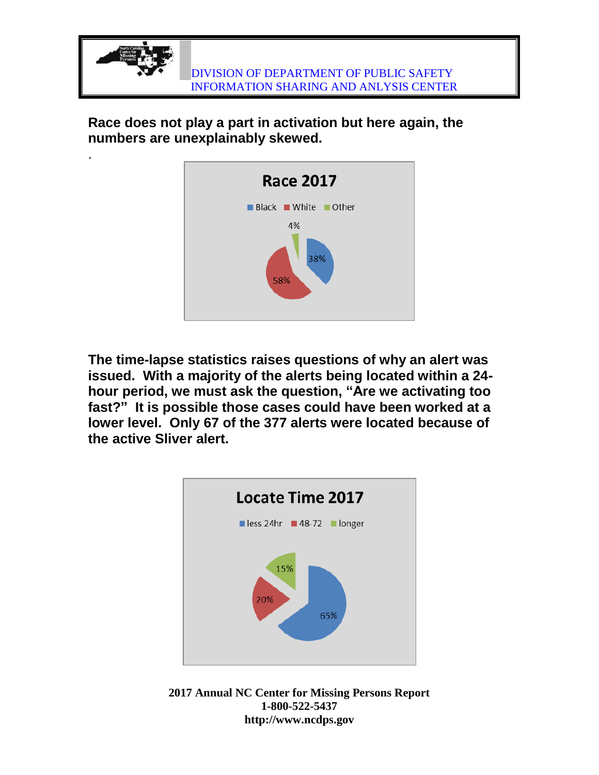

**Race does not play a part in activation but here again, the numbers are unexplainably skewed.**

.



**The time-lapse statistics raises questions of why an alert was issued. With a majority of the alerts being located within a 24 hour period, we must ask the question, "Are we activating too fast?" It is possible those cases could have been worked at a lower level. Only 67 of the 377 alerts were located because of the active Sliver alert.**



**2017 Annual NC Center for Missing Persons Report 1-800-522-5437 http://www.ncdps.gov**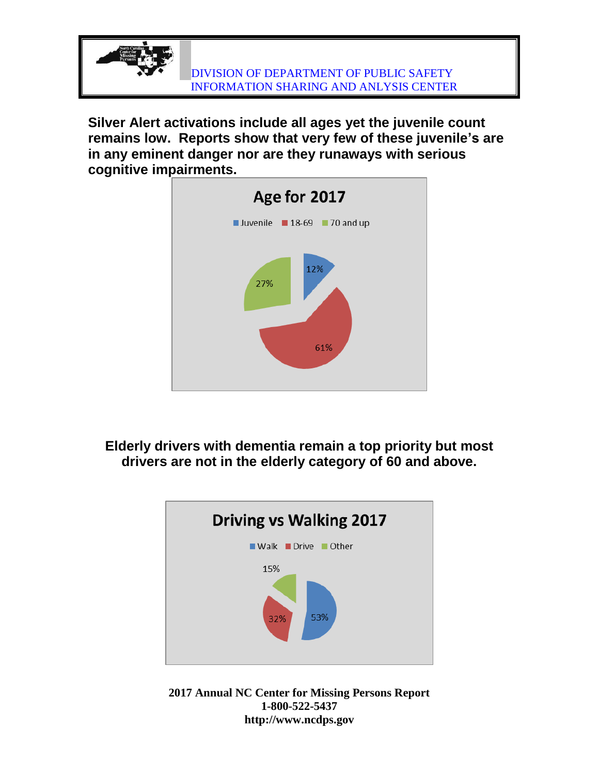

**Silver Alert activations include all ages yet the juvenile count remains low. Reports show that very few of these juvenile's are in any eminent danger nor are they runaways with serious cognitive impairments.** 



**Elderly drivers with dementia remain a top priority but most drivers are not in the elderly category of 60 and above.**



**2017 Annual NC Center for Missing Persons Report 1-800-522-5437 http://www.ncdps.gov**